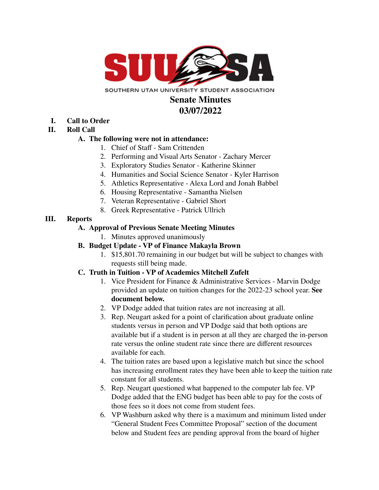

SOUTHERN UTAH UNIVERSITY STUDENT ASSOCIATION

#### **Senate Minutes 03/07/2022**

**I. Call to Order**

### **II. Roll Call**

#### **A. The following were not in attendance:**

- 1. Chief of Staff Sam Crittenden
- 2. Performing and Visual Arts Senator Zachary Mercer
- 3. Exploratory Studies Senator Katherine Skinner
- 4. Humanities and Social Science Senator Kyler Harrison
- 5. Athletics Representative Alexa Lord and Jonah Babbel
- 6. Housing Representative Samantha Nielsen
- 7. Veteran Representative Gabriel Short
- 8. Greek Representative Patrick Ullrich

#### **III. Reports**

### **A. Approval of Previous Senate Meeting Minutes**

1. Minutes approved unanimously

### **B. Budget Update - VP of Finance Makayla Brown**

1. \$15,801.70 remaining in our budget but will be subject to changes with requests still being made.

### **C. Truth in Tuition - VP of Academics Mitchell Zufelt**

- 1. Vice President for Finance & Administrative Services Marvin Dodge provided an update on tuition changes for the 2022-23 school year. **See document below.**
- 2. VP Dodge added that tuition rates are not increasing at all.
- 3. Rep. Neugart asked for a point of clarification about graduate online students versus in person and VP Dodge said that both options are available but if a student is in person at all they are charged the in-person rate versus the online student rate since there are different resources available for each.
- 4. The tuition rates are based upon a legislative match but since the school has increasing enrollment rates they have been able to keep the tuition rate constant for all students.
- 5. Rep. Neugart questioned what happened to the computer lab fee. VP Dodge added that the ENG budget has been able to pay for the costs of those fees so it does not come from student fees.
- 6. VP Washburn asked why there is a maximum and minimum listed under "General Student Fees Committee Proposal" section of the document below and Student fees are pending approval from the board of higher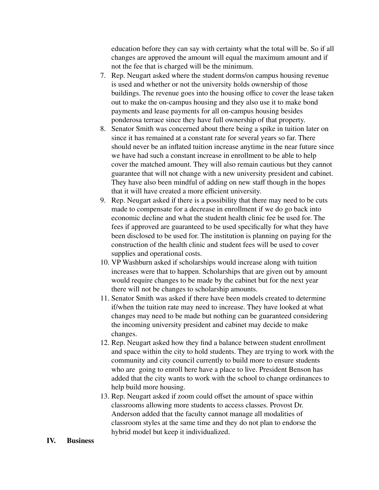education before they can say with certainty what the total will be. So if all changes are approved the amount will equal the maximum amount and if not the fee that is charged will be the minimum.

- 7. Rep. Neugart asked where the student dorms/on campus housing revenue is used and whether or not the university holds ownership of those buildings. The revenue goes into the housing office to cover the lease taken out to make the on-campus housing and they also use it to make bond payments and lease payments for all on-campus housing besides ponderosa terrace since they have full ownership of that property.
- 8. Senator Smith was concerned about there being a spike in tuition later on since it has remained at a constant rate for several years so far. There should never be an inflated tuition increase anytime in the near future since we have had such a constant increase in enrollment to be able to help cover the matched amount. They will also remain cautious but they cannot guarantee that will not change with a new university president and cabinet. They have also been mindful of adding on new staff though in the hopes that it will have created a more efficient university.
- 9. Rep. Neugart asked if there is a possibility that there may need to be cuts made to compensate for a decrease in enrollment if we do go back into economic decline and what the student health clinic fee be used for. The fees if approved are guaranteed to be used specifically for what they have been disclosed to be used for. The institution is planning on paying for the construction of the health clinic and student fees will be used to cover supplies and operational costs.
- 10. VP Washburn asked if scholarships would increase along with tuition increases were that to happen. Scholarships that are given out by amount would require changes to be made by the cabinet but for the next year there will not be changes to scholarship amounts.
- 11. Senator Smith was asked if there have been models created to determine if/when the tuition rate may need to increase. They have looked at what changes may need to be made but nothing can be guaranteed considering the incoming university president and cabinet may decide to make changes.
- 12. Rep. Neugart asked how they find a balance between student enrollment and space within the city to hold students. They are trying to work with the community and city council currently to build more to ensure students who are going to enroll here have a place to live. President Benson has added that the city wants to work with the school to change ordinances to help build more housing.
- 13. Rep. Neugart asked if zoom could offset the amount of space within classrooms allowing more students to access classes. Provost Dr. Anderson added that the faculty cannot manage all modalities of classroom styles at the same time and they do not plan to endorse the hybrid model but keep it individualized.

#### **IV. Business**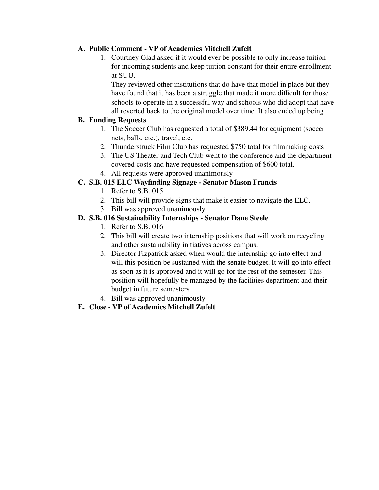#### **A. Public Comment - VP of Academics Mitchell Zufelt**

1. Courtney Glad asked if it would ever be possible to only increase tuition for incoming students and keep tuition constant for their entire enrollment at SUU.

They reviewed other institutions that do have that model in place but they have found that it has been a struggle that made it more difficult for those schools to operate in a successful way and schools who did adopt that have all reverted back to the original model over time. It also ended up being

#### **B. Funding Requests**

- 1. The Soccer Club has requested a total of \$389.44 for equipment (soccer nets, balls, etc.), travel, etc.
- 2. Thunderstruck Film Club has requested \$750 total for filmmaking costs
- 3. The US Theater and Tech Club went to the conference and the department covered costs and have requested compensation of \$600 total.
- 4. All requests were approved unanimously

#### **C. S.B. 015 ELC Wayfinding Signage - Senator Mason Francis**

- 1. Refer to S.B. 015
- 2. This bill will provide signs that make it easier to navigate the ELC.
- 3. Bill was approved unanimously

#### **D. S.B. 016 Sustainability Internships - Senator Dane Steele**

- 1. Refer to S.B. 016
- 2. This bill will create two internship positions that will work on recycling and other sustainability initiatives across campus.
- 3. Director Fizpatrick asked when would the internship go into effect and will this position be sustained with the senate budget. It will go into effect as soon as it is approved and it will go for the rest of the semester. This position will hopefully be managed by the facilities department and their budget in future semesters.
- 4. Bill was approved unanimously

### **E. Close - VP of Academics Mitchell Zufelt**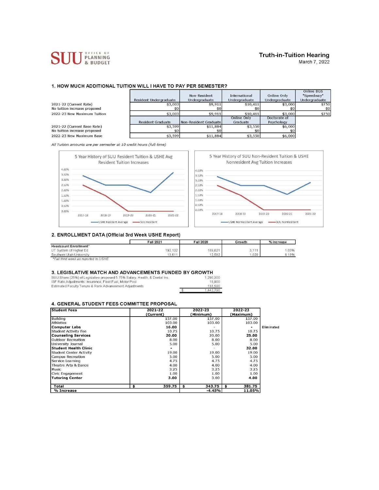

## **Truth-in-Tuition Hearing**

March 7, 2022

Online RGS

┑

#### 1. HOW MUCH ADDITIONAL TUITION WILL I HAVE TO PAY PER SEMESTER?

|                                                             | Resident Undergraduate   | Non-Resident<br>Undergraduate | International<br>Undergraduate | Online Only<br>Undergraduate | -------------<br>"Speedway"<br>Undergraduate |
|-------------------------------------------------------------|--------------------------|-------------------------------|--------------------------------|------------------------------|----------------------------------------------|
| 2021-22 (Current Rate)<br>No tuition increase proposed      | \$3,003                  | \$9,911<br>\$0                | \$10,411                       | \$3,000                      | \$750<br>\$0                                 |
| 2022-23 New Maximum Tuition                                 | \$3,003                  | \$9,911                       | \$10,411                       | \$3,000                      | \$750                                        |
|                                                             | <b>Resident Graduate</b> | Non-Resident Graduate         | Online Only<br>Graduate        | Doctorate of<br>Psychology   |                                              |
| 2021-22 (Current Base Rate)<br>No tuition increase proposed | \$3,599                  | \$11,884                      | \$3,550                        | \$6,000                      |                                              |
| 2022-23 New Maximum Base                                    | \$3,599                  | \$11,884                      | \$3,550                        | \$6,000                      |                                              |

All Tuition amounts are per semester at 10 credit hours (full-time)



#### 2. ENROLLMENT DATA (Official 3rd Week USHE Report)

|                          | Fall 2021 | Fall 2020 | Growth | % Increase |  |
|--------------------------|-----------|-----------|--------|------------|--|
| Headcount Enrollment*    |           |           |        |            |  |
| UT System of Higher Ed   | 192,132   | 189,021   | 3,111  | 1.65%      |  |
| Southern Utah University | 13.611    | 12.582    | .029   | 8.18%      |  |

\*Fall third week as reported to USHE

#### 3. LEGISLATIVE MATCH AND ADVANCEMENTS FUNDED BY GROWTH

SUU Share (25%) of Legislative proposed 5.75% Salary, Health, & Dental Ins.<br>ISF Rate Adjustments: Insurance, Fleet Fuel, Motor Pool<br>Estimated Faculty Tenure & Rank Advancement Adjustments  $\sqrt[6]{3}$ 

| 290,300 |
|---------|
| 18,900  |
|         |
|         |
|         |

#### 4. GENERAL STUDENT FEES COMMITTEE PROPOSAL

| <b>Student Fees</b>            |    | 2021-22<br>(Current) | 2022-23<br>(Minimum) | 2022-23<br>(Maximum) |            |
|--------------------------------|----|----------------------|----------------------|----------------------|------------|
| <b>Building</b>                |    | 157.00               | 157.00               | 157.00               |            |
| <b>Athletics</b>               |    | 103.00               | 103.00               | 103.00               |            |
| <b>Computer Labs</b>           |    | 16.00                |                      |                      | Eliminated |
| <b>Student Activity Fee</b>    |    | 10.75                | 10.75                | 10.75                |            |
| <b>Counseling Services</b>     |    | 20.00                | 20.00                | 25.00                |            |
| <b>Outdoor Recreation</b>      |    | 8.00                 | 8.00                 | 8.00                 |            |
| University Journal             |    | 5.00                 | 5.00                 | 5.00                 |            |
| <b>Student Health Clinic</b>   |    |                      |                      | 32.00                |            |
| <b>Student Center Activity</b> |    | 19.00                | 19.00                | 19.00                |            |
| Campus Recreation              |    | 5.00                 | 5.00                 | 5.00                 |            |
| Service Learning               |    | 4.75                 | 4.75                 | 4.75                 |            |
| Theatre Arts & Dance           |    | 4.00                 | 4.00                 | 4.00                 |            |
| Music                          |    | 3.25                 | 3.25                 | 3.25                 |            |
| Civic Engagement               |    | 1.00                 | 1.00                 | 1.00                 |            |
| <b>Tutoring Center</b>         |    | 3.00                 | 3.00                 | 4.00                 |            |
| Total                          | \$ | 359.75               | \$<br>343.75         | 381.75               |            |
| % Increase                     |    |                      | $-4.45%$             | 11.05%               |            |